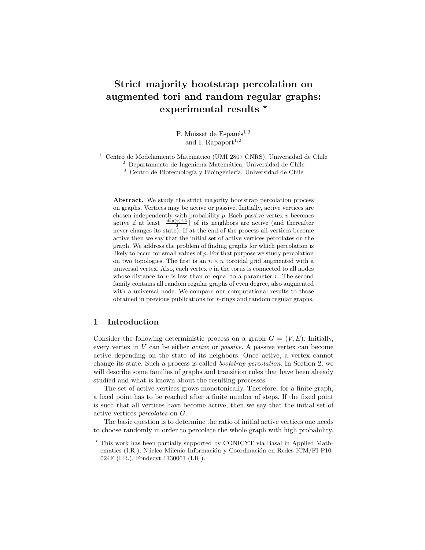# Strict majority bootstrap percolation on augmented tori and random regular graphs: experimental results  $*$

P. Moisset de Espanés<sup>1,3</sup> and I. Rapaport<sup>1,2</sup>

 $^1$  Centro de Modelamiento Matemático (UMI 2807 CNRS), Universidad de Chile

 $2$  Departamento de Ingeniería Matemática, Universidad de Chile

<sup>3</sup> Centro de Biotecnología y Bioingeniería, Universidad de Chile

Abstract. We study the strict majority bootstrap percolation process on graphs. Vertices may be active or passive. Initially, active vertices are chosen independently with probability  $p$ . Each passive vertex  $v$  becomes active if at least  $\lceil \frac{deg(v)+1}{2} \rceil$  of its neighbors are active (and thereafter  $\frac{1}{2}$  never changes its state). If at the end of the process all vertices become active then we say that the initial set of active vertices percolates on the graph. We address the problem of finding graphs for which percolation is likely to occur for small values of p. For that purpose we study percolation on two topologies. The first is an  $n \times n$  toroidal grid augmented with a universal vertex. Also, each vertex  $v$  in the torus is connected to all nodes whose distance to  $v$  is less than or equal to a parameter  $r$ . The second family contains all random regular graphs of even degree, also augmented with a universal node. We compare our computational results to those obtained in previous publications for r-rings and random regular graphs.

# 1 Introduction

Consider the following deterministic process on a graph  $G = (V, E)$ . Initially, every vertex in V can be either active or passive. A passive vertex can become active depending on the state of its neighbors. Once active, a vertex cannot change its state. Such a process is called bootstrap percolation. In Section 2, we will describe some families of graphs and transition rules that have been already studied and what is known about the resulting processes.

The set of active vertices grows monotonically. Therefore, for a finite graph, a fixed point has to be reached after a finite number of steps. If the fixed point is such that all vertices have become active, then we say that the initial set of active vertices percolates on G.

The basic question is to determine the ratio of initial active vertices one needs to choose randomly in order to percolate the whole graph with high probability.

<sup>?</sup> This work has been partially supported by CONICYT via Basal in Applied Mathematics (I.R.), Núcleo Milenio Información y Coordinación en Redes ICM/FI P10-024F (I.R.), Fondecyt 1130061 (I.R.).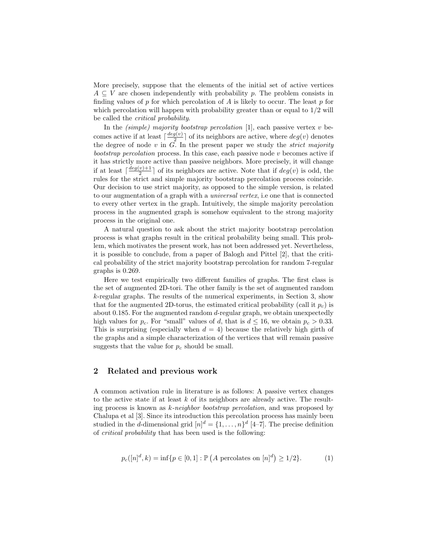More precisely, suppose that the elements of the initial set of active vertices  $A \subseteq V$  are chosen independently with probability p. The problem consists in finding values of p for which percolation of A is likely to occur. The least p for which percolation will happen with probability greater than or equal to  $1/2$  will be called the critical probability.

In the *(simple)* majority bootstrap percolation [1], each passive vertex  $v$  becomes active if at least  $\lceil \frac{deg(v)}{2} \rceil$  $\frac{g(v)}{2}$  of its neighbors are active, where  $deg(v)$  denotes the degree of node v in  $\tilde{G}$ . In the present paper we study the *strict majority* bootstrap percolation process. In this case, each passive node  $v$  becomes active if it has strictly more active than passive neighbors. More precisely, it will change if at least  $\lceil \frac{deg(v)+1}{2} \rceil$  $\frac{v+1}{2}$  of its neighbors are active. Note that if  $deg(v)$  is odd, the rules for the strict and simple majority bootstrap percolation process coincide. Our decision to use strict majority, as opposed to the simple version, is related to our augmentation of a graph with a universal vertex, i.e one that is connected to every other vertex in the graph. Intuitively, the simple majority percolation process in the augmented graph is somehow equivalent to the strong majority process in the original one.

A natural question to ask about the strict majority bootstrap percolation process is what graphs result in the critical probability being small. This problem, which motivates the present work, has not been addressed yet. Nevertheless, it is possible to conclude, from a paper of Balogh and Pittel [2], that the critical probability of the strict majority bootstrap percolation for random 7-regular graphs is 0.269.

Here we test empirically two different families of graphs. The first class is the set of augmented 2D-tori. The other family is the set of augmented random k-regular graphs. The results of the numerical experiments, in Section 3, show that for the augmented 2D-torus, the estimated critical probability (call it  $p_c$ ) is about 0.185. For the augmented random d-regular graph, we obtain unexpectedly high values for  $p_c$ . For "small" values of d, that is  $d \le 16$ , we obtain  $p_c > 0.33$ . This is surprising (especially when  $d = 4$ ) because the relatively high girth of the graphs and a simple characterization of the vertices that will remain passive suggests that the value for  $p_c$  should be small.

# 2 Related and previous work

A common activation rule in literature is as follows: A passive vertex changes to the active state if at least  $k$  of its neighbors are already active. The resulting process is known as k-neighbor bootstrap percolation, and was proposed by Chalupa et al [3]. Since its introduction this percolation process has mainly been studied in the *d*-dimensional grid  $[n]^d = \{1, \ldots, n\}^d$  [4-7]. The precise definition of critical probability that has been used is the following:

$$
p_c([n]^d, k) = \inf \{ p \in [0, 1] : \mathbb{P} (A \text{ percolates on } [n]^d) \ge 1/2 \}. \tag{1}
$$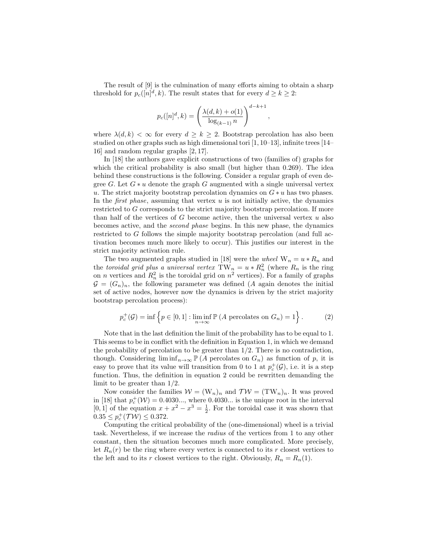The result of [9] is the culmination of many efforts aiming to obtain a sharp threshold for  $p_c([n]^d, k)$ . The result states that for every  $d \geq k \geq 2$ :

$$
p_c([n]^d, k) = \left(\frac{\lambda(d, k) + o(1)}{\log_{(k-1)} n}\right)^{d-k+1}
$$

,

where  $\lambda(d, k) < \infty$  for every  $d \geq k \geq 2$ . Bootstrap percolation has also been studied on other graphs such as high dimensional tori [1, 10–13], infinite trees [14– 16] and random regular graphs [2, 17].

In [18] the authors gave explicit constructions of two (families of) graphs for which the critical probability is also small (but higher than 0.269). The idea behind these constructions is the following. Consider a regular graph of even degree G. Let  $G * u$  denote the graph G augmented with a single universal vertex u. The strict majority bootstrap percolation dynamics on  $G * u$  has two phases. In the *first phase*, assuming that vertex  $u$  is not initially active, the dynamics restricted to G corresponds to the strict majority bootstrap percolation. If more than half of the vertices of  $G$  become active, then the universal vertex  $u$  also becomes active, and the second phase begins. In this new phase, the dynamics restricted to G follows the simple majority bootstrap percolation (and full activation becomes much more likely to occur). This justifies our interest in the strict majority activation rule.

The two augmented graphs studied in [18] were the *wheel*  $W_n = u * R_n$  and the toroidal grid plus a universal vertex  $TW_n = u * R_n^2$  (where  $R_n$  is the ring on *n* vertices and  $R_n^2$  is the toroidal grid on  $n^2$  vertices). For a family of graphs  $\mathcal{G} = (G_n)_n$ , the following parameter was defined (A again denotes the initial set of active nodes, however now the dynamics is driven by the strict majority bootstrap percolation process):

$$
p_c^+(\mathcal{G}) = \inf \left\{ p \in [0, 1] : \liminf_{n \to \infty} \mathbb{P}\left(A \text{ percolates on } G_n\right) = 1 \right\}.
$$
 (2)

Note that in the last definition the limit of the probability has to be equal to 1. This seems to be in conflict with the definition in Equation 1, in which we demand the probability of percolation to be greater than  $1/2$ . There is no contradiction, though. Considering  $\liminf_{n\to\infty} \mathbb{P}(A)$  percolates on  $G_n$ ) as function of p, it is easy to prove that its value will transition from 0 to 1 at  $p_c^+(\mathcal{G})$ , i.e. it is a step function. Thus, the definition in equation 2 could be rewritten demanding the limit to be greater than 1/2.

Now consider the families  $W = (W_n)_n$  and  $\mathcal{TW} = (TW_n)_n$ . It was proved in [18] that  $p_c^+(\mathcal{W}) = 0.4030...$ , where 0.4030... is the unique root in the interval [0, 1] of the equation  $x + x^2 - x^3 = \frac{1}{2}$ . For the toroidal case it was shown that  $0.35 \le p_c^+(\mathcal{TW}) \le 0.372.$ 

Computing the critical probability of the (one-dimensional) wheel is a trivial task. Nevertheless, if we increase the radius of the vertices from 1 to any other constant, then the situation becomes much more complicated. More precisely, let  $R_n(r)$  be the ring where every vertex is connected to its r closest vertices to the left and to its r closest vertices to the right. Obviously,  $R_n = R_n(1)$ .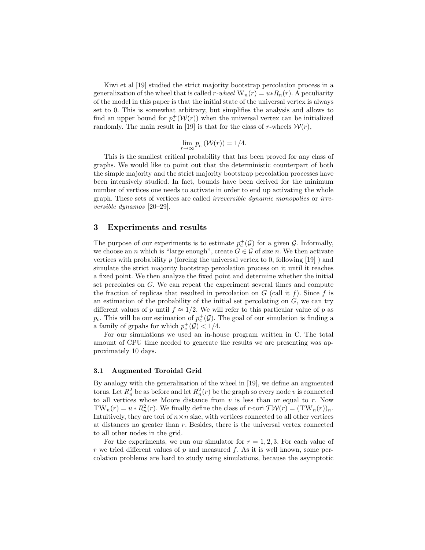Kiwi et al |19| studied the strict majority bootstrap percolation process in a generalization of the wheel that is called r-wheel  $W_n(r) = u * R_n(r)$ . A peculiarity of the model in this paper is that the initial state of the universal vertex is always set to 0. This is somewhat arbitrary, but simplifies the analysis and allows to find an upper bound for  $p_c^+(\mathcal{W}(r))$  when the universal vertex can be initialized randomly. The main result in [19] is that for the class of r-wheels  $W(r)$ ,

$$
\lim_{r \to \infty} p_c^+ (\mathcal{W}(r)) = 1/4.
$$

This is the smallest critical probability that has been proved for any class of graphs. We would like to point out that the deterministic counterpart of both the simple majority and the strict majority bootstrap percolation processes have been intensively studied. In fact, bounds have been derived for the minimum number of vertices one needs to activate in order to end up activating the whole graph. These sets of vertices are called irreversible dynamic monopolies or irreversible dynamos [20–29].

## 3 Experiments and results

The purpose of our experiments is to estimate  $p_c^+(\mathcal{G})$  for a given  $\mathcal{G}$ . Informally, we choose an *n* which is "large enough", create  $G \in \mathcal{G}$  of size *n*. We then activate vertices with probability  $p$  (forcing the universal vertex to 0, following [19]) and simulate the strict majority bootstrap percolation process on it until it reaches a fixed point. We then analyze the fixed point and determine whether the initial set percolates on G. We can repeat the experiment several times and compute the fraction of replicas that resulted in percolation on  $G$  (call it f). Since f is an estimation of the probability of the initial set percolating on  $G$ , we can try different values of p until  $f \approx 1/2$ . We will refer to this particular value of p as  $p_c$ . This will be our estimation of  $p_c^+(\mathcal{G})$ . The goal of our simulation is finding a a family of grpahs for which  $p_c^+(\mathcal{G}) < 1/4$ .

For our simulations we used an in-house program written in C. The total amount of CPU time needed to generate the results we are presenting was approximately 10 days.

### 3.1 Augmented Toroidal Grid

By analogy with the generalization of the wheel in [19], we define an augmented torus. Let  $R_n^2$  be as before and let  $R_n^2(r)$  be the graph so every node v is connected to all vertices whose Moore distance from  $v$  is less than or equal to  $r$ . Now TW<sub>n</sub> $(r) = u * R_n^2(r)$ . We finally define the class of r-tori  $\mathcal{TW}(r) = (\text{TW}_n(r))_n$ . Intuitively, they are tori of  $n \times n$  size, with vertices connected to all other vertices at distances no greater than r. Besides, there is the universal vertex connected to all other nodes in the grid.

For the experiments, we run our simulator for  $r = 1, 2, 3$ . For each value of  $r$  we tried different values of  $p$  and measured  $f$ . As it is well known, some percolation problems are hard to study using simulations, because the asymptotic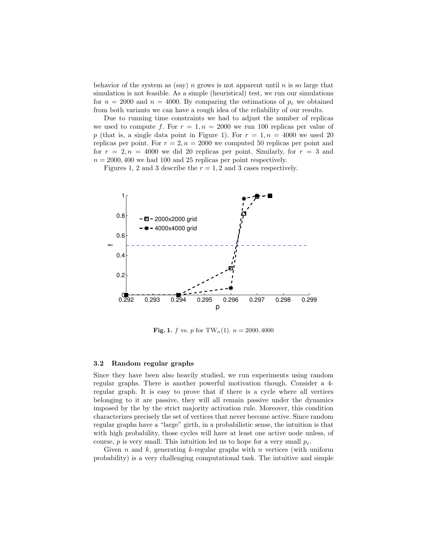behavior of the system as (say) n grows is not apparent until  $n$  is so large that simulation is not feasible. As a simple (heuristical) test, we run our simulations for  $n = 2000$  and  $n = 4000$ . By comparing the estimations of  $p_c$  we obtained from both variants we can have a rough idea of the reliability of our results.

Due to running time constraints we had to adjust the number of replicas we used to compute f. For  $r = 1$ ,  $n = 2000$  we run 100 replicas per value of p (that is, a single data point in Figure 1). For  $r = 1, n = 4000$  we used 20 replicas per point. For  $r = 2, n = 2000$  we computed 50 replicas per point and for  $r = 2, n = 4000$  we did 20 replicas per point. Similarly, for  $r = 3$  and  $n = 2000, 400$  we had 100 and 25 replicas per point respectively.

Figures 1, 2 and 3 describe the  $r = 1, 2$  and 3 cases respectively.



**Fig. 1.** f vs. p for TW<sub>n</sub>(1).  $n = 2000, 4000$ 

#### 3.2 Random regular graphs

Since they have been also heavily studied, we run experiments using random regular graphs. There is another powerful motivation though. Consider a 4 regular graph. It is easy to prove that if there is a cycle where all vertices belonging to it are passive, they will all remain passive under the dynamics imposed by the by the strict majority activation rule. Moreover, this condition characterizes precisely the set of vertices that never become active. Since random regular graphs have a "large" girth, in a probabilistic sense, the intuition is that with high probability, those cycles will have at least one active node unless, of course, p is very small. This intuition led us to hope for a very small  $p_c$ .

Given  $n$  and  $k$ , generating  $k$ -regular graphs with  $n$  vertices (with uniform probability) is a very challenging computational task. The intuitive and simple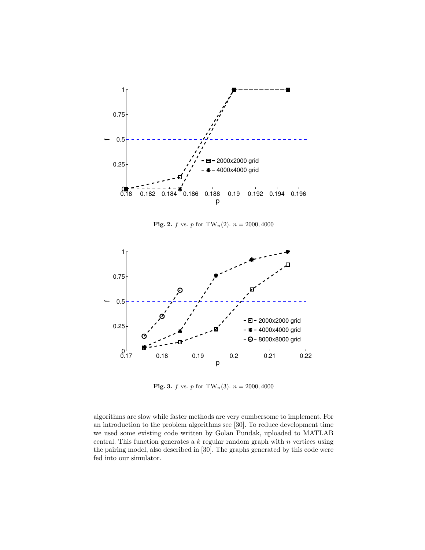

**Fig. 2.** f vs. p for TW<sub>n</sub>(2).  $n = 2000, 4000$ 



**Fig. 3.** f vs. p for TW<sub>n</sub>(3).  $n = 2000, 4000$ 

algorithms are slow while faster methods are very cumbersome to implement. For an introduction to the problem algorithms see [30]. To reduce development time we used some existing code written by Golan Pundak, uploaded to MATLAB central. This function generates a  $k$  regular random graph with  $n$  vertices using the pairing model, also described in [30]. The graphs generated by this code were fed into our simulator.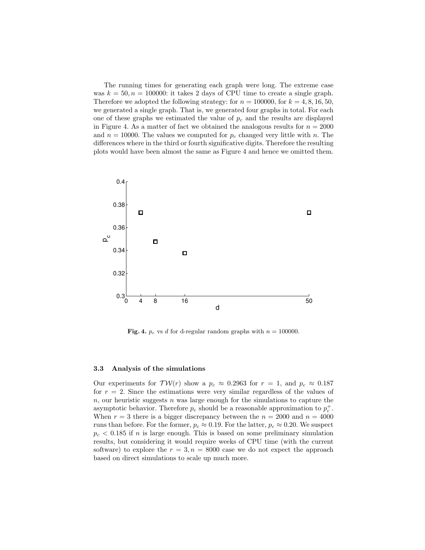The running times for generating each graph were long. The extreme case was  $k = 50$ ,  $n = 100000$ : it takes 2 days of CPU time to create a single graph. Therefore we adopted the following strategy: for  $n = 100000$ , for  $k = 4, 8, 16, 50$ , we generated a single graph. That is, we generated four graphs in total. For each one of these graphs we estimated the value of  $p_c$  and the results are displayed in Figure 4. As a matter of fact we obtained the analogous results for  $n = 2000$ and  $n = 10000$ . The values we computed for  $p_c$  changed very little with n. The differences where in the third or fourth significative digits. Therefore the resulting plots would have been almost the same as Figure 4 and hence we omitted them.



Fig. 4.  $p_c$  vs d for d-regular random graphs with  $n = 100000$ .

#### 3.3 Analysis of the simulations

Our experiments for  $\mathcal{TW}(r)$  show a  $p_c \approx 0.2963$  for  $r = 1$ , and  $p_c \approx 0.187$ for  $r = 2$ . Since the estimations were very similar regardless of the values of  $n$ , our heuristic suggests  $n$  was large enough for the simulations to capture the asymptotic behavior. Therefore  $p_c$  should be a reasonable approximation to  $p_c^+$ . When  $r = 3$  there is a bigger discrepancy between the  $n = 2000$  and  $n = 4000$ runs than before. For the former,  $p_c \approx 0.19$ . For the latter,  $p_c \approx 0.20$ . We suspect  $p_c < 0.185$  if n is large enough. This is based on some preliminary simulation results, but considering it would require weeks of CPU time (with the current software) to explore the  $r = 3, n = 8000$  case we do not expect the approach based on direct simulations to scale up much more.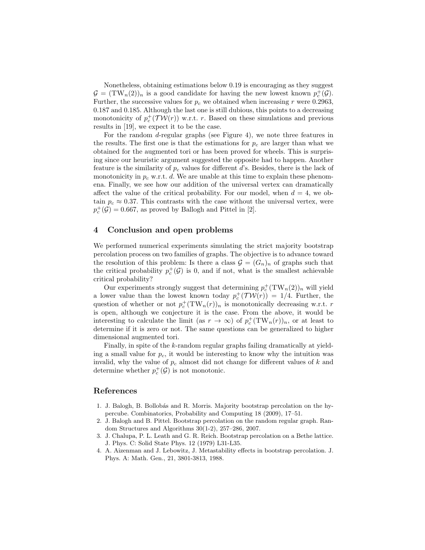Nonetheless, obtaining estimations below 0.19 is encouraging as they suggest  $\mathcal{G} = (\text{TW}_n(2))_n$  is a good candidate for having the new lowest known  $p_c^+(\mathcal{G})$ . Further, the successive values for  $p_c$  we obtained when increasing r were 0.2963, 0.187 and 0.185. Although the last one is still dubious, this points to a decreasing monotonicity of  $p_c^+(\mathcal{TW}(r))$  w.r.t. r. Based on these simulations and previous results in [19], we expect it to be the case.

For the random d-regular graphs (see Figure 4), we note three features in the results. The first one is that the estimations for  $p_c$  are larger than what we obtained for the augmented tori or has been proved for wheels. This is surprising since our heuristic argument suggested the opposite had to happen. Another feature is the similarity of  $p_c$  values for different d's. Besides, there is the lack of monotonicity in  $p_c$  w.r.t. d. We are unable at this time to explain these phenomena. Finally, we see how our addition of the universal vertex can dramatically affect the value of the critical probability. For our model, when  $d = 4$ , we obtain  $p_c \approx 0.37$ . This contrasts with the case without the universal vertex, were  $p_c^+(\mathcal{G}) = 0.667$ , as proved by Ballogh and Pittel in [2].

# 4 Conclusion and open problems

We performed numerical experiments simulating the strict majority bootstrap percolation process on two families of graphs. The objective is to advance toward the resolution of this problem: Is there a class  $\mathcal{G} = (G_n)_n$  of graphs such that the critical probability  $p_c^+(\mathcal{G})$  is 0, and if not, what is the smallest achievable critical probability?

Our experiments strongly suggest that determining  $p_c^+(\text{TW}_n(2))_n$  will yield a lower value than the lowest known today  $p_c^+(\mathcal{TW}(r)) = 1/4$ . Further, the question of whether or not  $p_c^+(\text{TW}_n(r))_n$  is monotonically decreasing w.r.t. r is open, although we conjecture it is the case. From the above, it would be interesting to calculate the limit (as  $r \to \infty$ ) of  $p_c^+(\text{TW}_n(r))_n$ , or at least to determine if it is zero or not. The same questions can be generalized to higher dimensional augmented tori.

Finally, in spite of the k-random regular graphs failing dramatically at yielding a small value for  $p_c$ , it would be interesting to know why the intuition was invalid, why the value of  $p_c$  almost did not change for different values of k and determine whether  $p_c^+(\mathcal{G})$  is not monotonic.

## References

- 1. J. Balogh, B. Bollob´as and R. Morris. Majority bootstrap percolation on the hypercube. Combinatorics, Probability and Computing 18 (2009), 17–51.
- 2. J. Balogh and B. Pittel. Bootstrap percolation on the random regular graph. Random Structures and Algorithms 30(1-2), 257–286, 2007.
- 3. J. Chalupa, P. L. Leath and G. R. Reich. Bootstrap percolation on a Bethe lattice. J. Phys. C: Solid State Phys. 12 (1979) L31-L35.
- 4. A. Aizenman and J. Lebowitz, J. Metastability effects in bootstrap percolation. J. Phys. A: Math. Gen., 21, 3801-3813, 1988.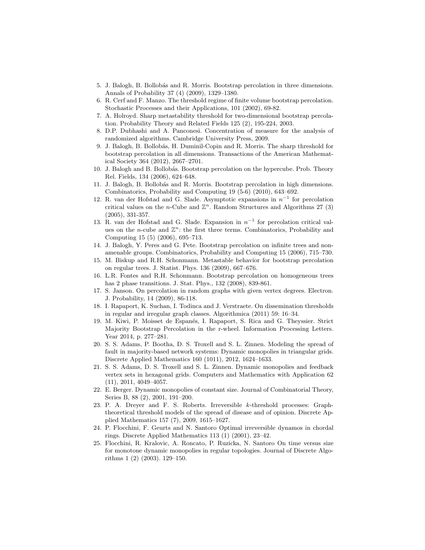- 5. J. Balogh, B. Bollob´as and R. Morris. Bootstrap percolation in three dimensions. Annals of Probability 37 (4) (2009), 1329–1380.
- 6. R. Cerf and F. Manzo. The threshold regime of finite volume bootstrap percolation. Stochastic Processes and their Applications, 101 (2002), 69-82.
- 7. A. Holroyd. Sharp metastability threshold for two-dimensional bootstrap percolation. Probability Theory and Related Fields 125 (2), 195-224, 2003.
- 8. D.P. Dubhashi and A. Panconesi. Concentration of measure for the analysis of randomized algorithms. Cambridge University Press, 2009.
- 9. J. Balogh, B. Bollob´as, H. Duminil-Copin and R. Morris. The sharp threshold for bootstrap percolation in all dimensions. Transactions of the American Mathematical Society 364 (2012), 2667–2701.
- 10. J. Balogh and B. Bollob´as. Bootstrap percolation on the hypercube. Prob. Theory Rel. Fields, 134 (2006), 624–648.
- 11. J. Balogh, B. Bollob´as and R. Morris. Bootstrap percolation in high dimensions. Combinatorics, Probability and Computing 19 (5-6) (2010), 643–692.
- 12. R. van der Hofstad and G. Slade. Asymptotic expansions in  $n^{-1}$  for percolation critical values on the *n*-Cube and  $\mathbb{Z}^n$ . Random Structures and Algorithms 27 (3) (2005), 331-357.
- 13. R. van der Hofstad and G. Slade. Expansion in  $n^{-1}$  for percolation critical values on the *n*-cube and  $\mathbb{Z}^n$ : the first three terms. Combinatorics, Probability and Computing 15 (5) (2006), 695–713.
- 14. J. Balogh, Y. Peres and G. Pete. Bootstrap percolation on infinite trees and nonamenable groups. Combinatorics, Probability and Computing 15 (2006), 715–730.
- 15. M. Biskup and R.H. Schonmann. Metastable behavior for bootstrap percolation on regular trees. J. Statist. Phys. 136 (2009), 667–676.
- 16. L.R. Fontes and R.H. Schonmann. Bootstrap percolation on homogeneous trees has 2 phase transitions. J. Stat. Phys., 132 (2008), 839-861.
- 17. S. Janson. On percolation in random graphs with given vertex degrees. Electron. J. Probability, 14 (2009), 86-118.
- 18. I. Rapaport, K. Suchan, I. Todinca and J. Verstraete. On dissemination thresholds in regular and irregular graph classes. Algorithmica (2011) 59: 16–34.
- 19. M. Kiwi, P. Moisset de Espanés, I. Rapaport, S. Rica and G. Theyssier. Strict Majority Bootstrap Percolation in the r-wheel. Information Processing Letters. Year 2014, p. 277–281.
- 20. S. S. Adams, P. Bootha, D. S. Troxell and S. L. Zinnen. Modeling the spread of fault in majority-based network systems: Dynamic monopolies in triangular grids. Discrete Applied Mathematics 160 (1011), 2012, 1624–1633.
- 21. S. S. Adams, D. S. Troxell and S. L. Zinnen. Dynamic monopolies and feedback vertex sets in hexagonal grids. Computers and Mathematics with Application 62 (11), 2011, 4049–4057.
- 22. E. Berger. Dynamic monopolies of constant size. Journal of Combinatorial Theory, Series B, 88 (2), 2001, 191–200.
- 23. P. A. Dreyer and F. S. Roberts. Irreversible k-threshold processes: Graphtheoretical threshold models of the spread of disease and of opinion. Discrete Applied Mathematics 157 (7), 2009, 1615–1627.
- 24. P. Flocchini, F. Geurts and N. Santoro Optimal irreversible dynamos in chordal rings. Discrete Applied Mathematics 113 (1) (2001), 23–42.
- 25. Flocchini, R. Kralovic, A. Roncato, P. Ruzicka, N. Santoro On time versus size for monotone dynamic monopolies in regular topologies. Journal of Discrete Algorithms 1 (2) (2003). 129–150.